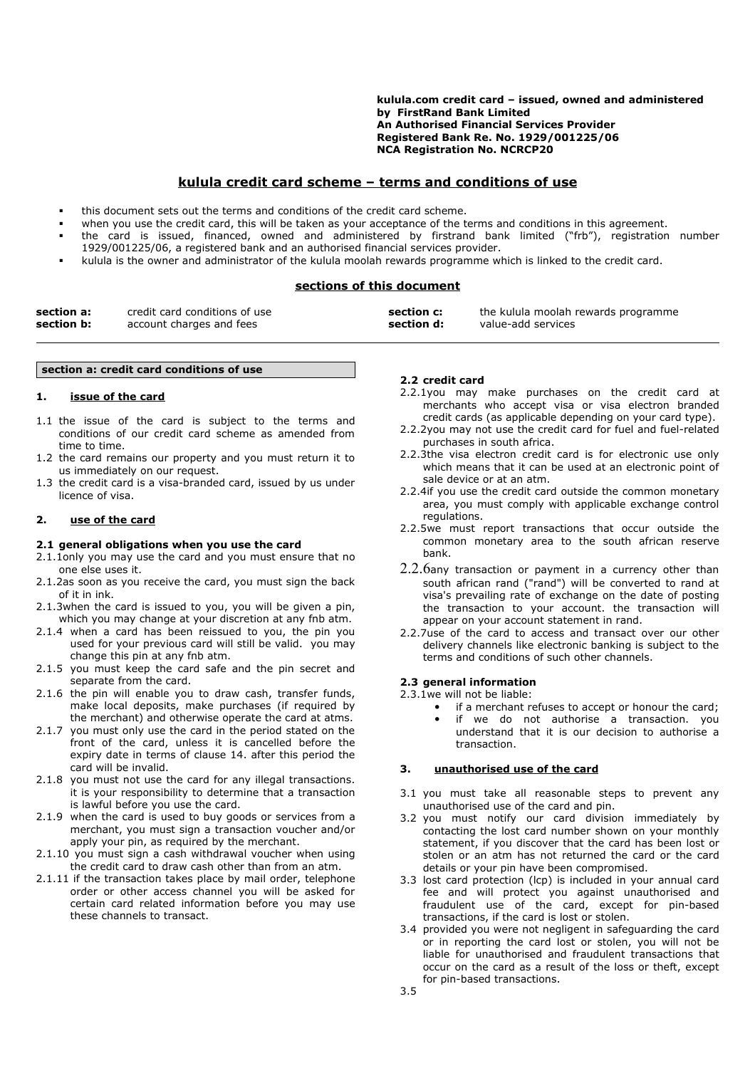**kulula.com credit card – issued, owned and administered by FirstRand Bank Limited An Authorised Financial Services Provider Registered Bank Re. No. 1929/001225/06 NCA Registration No. NCRCP20**

# **kulula credit card scheme – terms and conditions of use**

- this document sets out the terms and conditions of the credit card scheme.
- when you use the credit card, this will be taken as your acceptance of the terms and conditions in this agreement.
- the card is issued, financed, owned and administered by firstrand bank limited ("frb"), registration number 1929/001225/06, a registered bank and an authorised financial services provider.
- kulula is the owner and administrator of the kulula moolah rewards programme which is linked to the credit card.

# **sections of this document**

| section a: | credit card conditions of use | section c: | the kulula moolah rewards programme |
|------------|-------------------------------|------------|-------------------------------------|
| section b: | account charges and fees      | section d: | value-add services                  |

#### **section a: credit card conditions of use**

#### **1. issue of the card**

- 1.1 the issue of the card is subject to the terms and conditions of our credit card scheme as amended from time to time.
- 1.2 the card remains our property and you must return it to us immediately on our request.
- 1.3 the credit card is a visa-branded card, issued by us under licence of visa.

# **2. use of the card**

#### **2.1 general obligations when you use the card**

- 2.1.1only you may use the card and you must ensure that no one else uses it.
- 2.1.2as soon as you receive the card, you must sign the back of it in ink.
- 2.1.3when the card is issued to you, you will be given a pin, which you may change at your discretion at any fnb atm.
- 2.1.4 when a card has been reissued to you, the pin you used for your previous card will still be valid. you may change this pin at any fnb atm.
- 2.1.5 you must keep the card safe and the pin secret and separate from the card.
- 2.1.6 the pin will enable you to draw cash, transfer funds, make local deposits, make purchases (if required by the merchant) and otherwise operate the card at atms.
- 2.1.7 you must only use the card in the period stated on the front of the card, unless it is cancelled before the expiry date in terms of clause 14. after this period the card will be invalid.
- 2.1.8 you must not use the card for any illegal transactions. it is your responsibility to determine that a transaction is lawful before you use the card.
- 2.1.9 when the card is used to buy goods or services from a merchant, you must sign a transaction voucher and/or apply your pin, as required by the merchant.
- 2.1.10 you must sign a cash withdrawal voucher when using the credit card to draw cash other than from an atm.
- 2.1.11 if the transaction takes place by mail order, telephone order or other access channel you will be asked for certain card related information before you may use these channels to transact.

#### **2.2 credit card**

- 2.2.1you may make purchases on the credit card at merchants who accept visa or visa electron branded credit cards (as applicable depending on your card type).
- 2.2.2you may not use the credit card for fuel and fuel-related purchases in south africa.
- 2.2.3the visa electron credit card is for electronic use only which means that it can be used at an electronic point of sale device or at an atm.
- 2.2.4if you use the credit card outside the common monetary area, you must comply with applicable exchange control regulations.
- 2.2.5we must report transactions that occur outside the common monetary area to the south african reserve bank.
- $2.2.6$ any transaction or payment in a currency other than south african rand ("rand") will be converted to rand at visa's prevailing rate of exchange on the date of posting the transaction to your account. the transaction will appear on your account statement in rand.
- 2.2.7use of the card to access and transact over our other delivery channels like electronic banking is subject to the terms and conditions of such other channels.

# **2.3 general information**

- 2.3.1we will not be liable:
	- if a merchant refuses to accept or honour the card; if we do not authorise a transaction. you understand that it is our decision to authorise a

### **3. unauthorised use of the card**

transaction.

- 3.1 you must take all reasonable steps to prevent any unauthorised use of the card and pin.
- 3.2 you must notify our card division immediately by contacting the lost card number shown on your monthly statement, if you discover that the card has been lost or stolen or an atm has not returned the card or the card details or your pin have been compromised.
- 3.3 lost card protection (lcp) is included in your annual card fee and will protect you against unauthorised and fraudulent use of the card, except for pin-based transactions, if the card is lost or stolen.
- 3.4 provided you were not negligent in safeguarding the card or in reporting the card lost or stolen, you will not be liable for unauthorised and fraudulent transactions that occur on the card as a result of the loss or theft, except for pin-based transactions.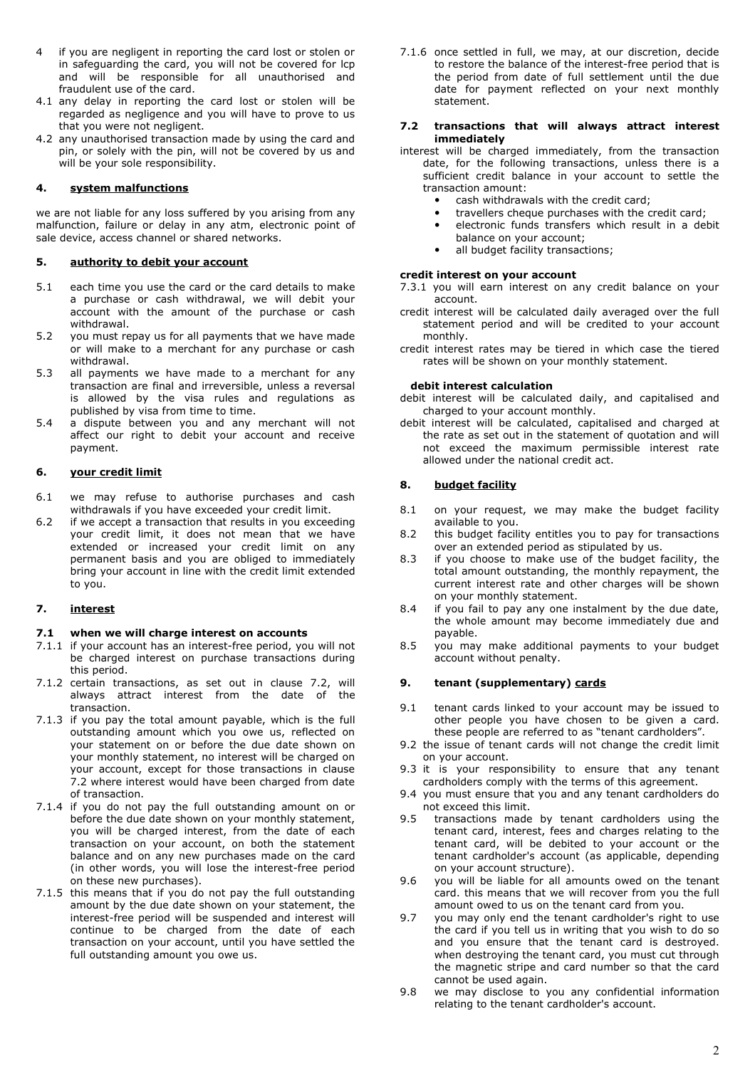- 4 if you are negligent in reporting the card lost or stolen or in safeguarding the card, you will not be covered for lcp and will be responsible for all unauthorised and fraudulent use of the card.
- 4.1 any delay in reporting the card lost or stolen will be regarded as negligence and you will have to prove to us that you were not negligent.
- 4.2 any unauthorised transaction made by using the card and pin, or solely with the pin, will not be covered by us and will be your sole responsibility.

# **4. sy stem malfunctions**

we are not liable for any loss suffered by you arising from any malfunction, failure or delay in any atm, electronic point of sale device, access channel or shared networks.

# **5. authority to debit your account**

- 5.1 each time you use the card or the card details to make a purchase or cash withdrawal, we will debit your account with the amount of the purchase or cash withdrawal.
- 5.2 you must repay us for all payments that we have made or will make to a merchant for any purchase or cash withdrawal.
- 5.3 all payments we have made to a merchant for any transaction are final and irreversible, unless a reversal is allowed by the visa rules and regulations as published by visa from time to time.
- 5.4 a dispute between you and any merchant will not affect our right to debit your account and receive payment.

### **6. your credit limit**

- 6.1 we may refuse to authorise purchases and cash withdrawals if you have exceeded your credit limit.
- 6.2 if we accept a transaction that results in you exceeding your credit limit, it does not mean that we have extended or increased your credit limit on any permanent basis and you are obliged to immediately bring your account in line with the credit limit extended to you.

# **7. interest**

# **7.1 when we will charge interest on accounts**

- 7.1.1 if your account has an interest-free period, you will not be charged interest on purchase transactions during this period.
- 7.1.2 certain transactions, as set out in clause 7.2, will always attract interest from the date of the transaction.
- 7.1.3 if you pay the total amount payable, which is the full outstanding amount which you owe us, reflected on your statement on or before the due date shown on your monthly statement, no interest will be charged on your account, except for those transactions in clause 7.2 where interest would have been charged from date of transaction.
- 7.1.4 if you do not pay the full outstanding amount on or before the due date shown on your monthly statement, you will be charged interest, from the date of each transaction on your account, on both the statement balance and on any new purchases made on the card (in other words, you will lose the interest-free period on these new purchases).
- 7.1.5 this means that if you do not pay the full outstanding amount by the due date shown on your statement, the interest-free period will be suspended and interest will continue to be charged from the date of each transaction on your account, until you have settled the full outstanding amount you owe us.

7.1.6 once settled in full, we may, at our discretion, decide to restore the balance of the interest-free period that is the period from date of full settlement until the due date for payment reflected on your next monthly statement.

### **7.2 transactions that will always attract interest immediately**

- interest will be charged immediately, from the transaction date, for the following transactions, unless there is a sufficient credit balance in your account to settle the transaction amount:
	- cash withdrawals with the credit card;
	- travellers cheque purchases with the credit card;
	- electronic funds transfers which result in a debit balance on your account;
	- all budget facility transactions;

### **credit interest on your account**

- 7.3.1 you will earn interest on any credit balance on your account.
- credit interest will be calculated daily averaged over the full statement period and will be credited to your account monthly.
- credit interest rates may be tiered in which case the tiered rates will be shown on your monthly statement.

#### **debit interest calculation**

- debit interest will be calculated daily, and capitalised and charged to your account monthly.
- debit interest will be calculated, capitalised and charged at the rate as set out in the statement of quotation and will not exceed the maximum permissible interest rate allowed under the national credit act.

# **8. budget facility**

- 8.1 on your request, we may make the budget facility available to you.
- 8.2 this budget facility entitles you to pay for transactions over an extended period as stipulated by us.
- 8.3 if you choose to make use of the budget facility, the total amount outstanding, the monthly repayment, the current interest rate and other charges will be shown on your monthly statement.
- 8.4 if you fail to pay any one instalment by the due date, the whole amount may become immediately due and payable.
- 8.5 you may make additional payments to your budget account without penalty.

# **9. tenant (supplementary) cards**

- 9.1 tenant cards linked to your account may be issued to other people you have chosen to be given a card. these people are referred to as "tenant cardholders".
- 9.2 the issue of tenant cards will not change the credit limit on your account.
- 9.3 it is your responsibility to ensure that any tenant cardholders comply with the terms of this agreement.
- 9.4 you must ensure that you and any tenant cardholders do not exceed this limit.
- 9.5 transactions made by tenant cardholders using the tenant card, interest, fees and charges relating to the tenant card, will be debited to your account or the tenant cardholder's account (as applicable, depending on your account structure).
- 9.6 you will be liable for all amounts owed on the tenant card. this means that we will recover from you the full amount owed to us on the tenant card from you.
- 9.7 you may only end the tenant cardholder's right to use the card if you tell us in writing that you wish to do so and you ensure that the tenant card is destroyed. when destroying the tenant card, you must cut through the magnetic stripe and card number so that the card cannot be used again.
- 9.8 we may disclose to you any confidential information relating to the tenant cardholder's account.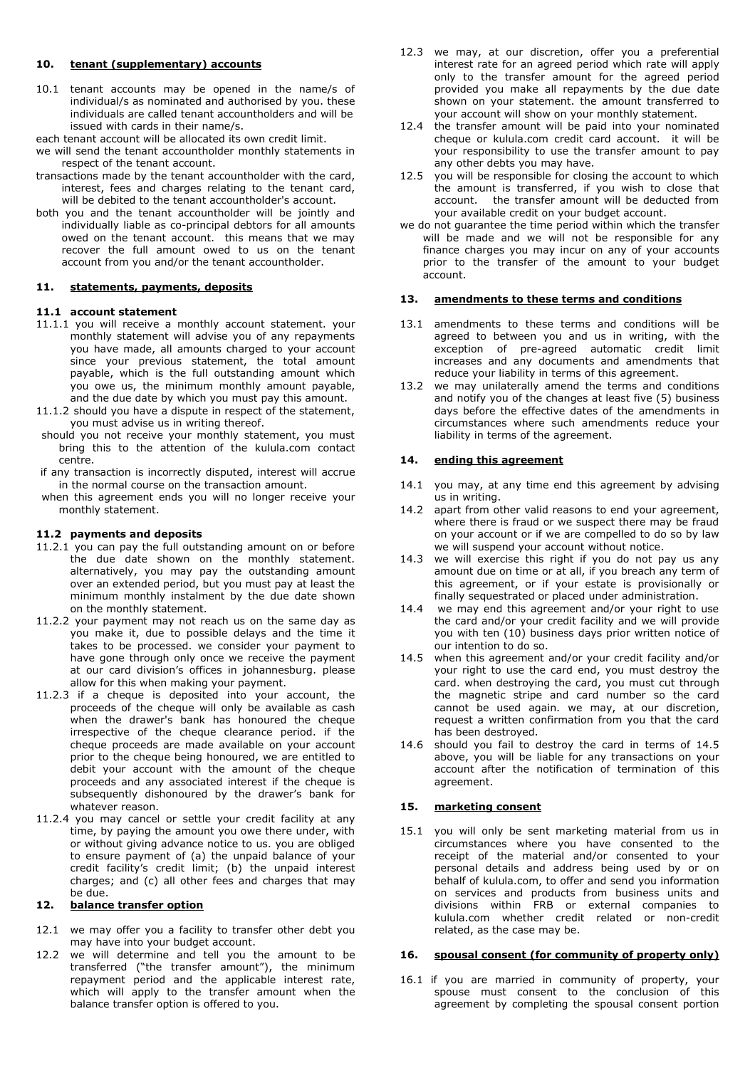#### **10. tenant (supplementary) accounts**

10.1 tenant accounts may be opened in the name/s of individual/s as nominated and authorised by you. these individuals are called tenant accountholders and will be issued with cards in their name/s.

each tenant account will be allocated its own credit limit.

- we will send the tenant accountholder monthly statements in respect of the tenant account.
- transactions made by the tenant accountholder with the card, interest, fees and charges relating to the tenant card, will be debited to the tenant accountholder's account.
- both you and the tenant accountholder will be jointly and individually liable as co-principal debtors for all amounts owed on the tenant account. this means that we may recover the full amount owed to us on the tenant account from you and/or the tenant accountholder.

#### **11. statements, payments, deposits**

#### **11.1 account statement**

- 11.1.1 you will receive a monthly account statement. your monthly statement will advise you of any repayments you have made, all amounts charged to your account since your previous statement, the total amount payable, which is the full outstanding amount which you owe us, the minimum monthly amount payable, and the due date by which you must pay this amount.
- 11.1.2 should you have a dispute in respect of the statement, you must advise us in writing thereof.
- should you not receive your monthly statement, you must bring this to the attention of the kulula.com contact centre.
- if any transaction is incorrectly disputed, interest will accrue in the normal course on the transaction amount.
- when this agreement ends you will no longer receive your monthly statement.

# **11.2 payments and deposits**

- 11.2.1 you can pay the full outstanding amount on or before the due date shown on the monthly statement. alternatively, you may pay the outstanding amount over an extended period, but you must pay at least the minimum monthly instalment by the due date shown on the monthly statement.
- 11.2.2 your payment may not reach us on the same day as you make it, due to possible delays and the time it takes to be processed. we consider your payment to have gone through only once we receive the payment at our card division's offices in johannesburg. please allow for this when making your payment.
- 11.2.3 if a cheque is deposited into your account, the proceeds of the cheque will only be available as cash when the drawer's bank has honoured the cheque irrespective of the cheque clearance period. if the cheque proceeds are made available on your account prior to the cheque being honoured, we are entitled to debit your account with the amount of the cheque proceeds and any associated interest if the cheque is subsequently dishonoured by the drawer's bank for whatever reason.
- 11.2.4 you may cancel or settle your credit facility at any time, by paying the amount you owe there under, with or without giving advance notice to us. you are obliged to ensure payment of (a) the unpaid balance of your credit facility's credit limit; (b) the unpaid interest charges; and (c) all other fees and charges that may be due.

# **12. balance transfer option**

- 12.1 we may offer you a facility to transfer other debt you may have into your budget account.
- 12.2 we will determine and tell you the amount to be transferred ("the transfer amount"), the minimum repayment period and the applicable interest rate, which will apply to the transfer amount when the balance transfer option is offered to you.
- 12.3 we may, at our discretion, offer you a preferential interest rate for an agreed period which rate will apply only to the transfer amount for the agreed period provided you make all repayments by the due date shown on your statement. the amount transferred to your account will show on your monthly statement.
- 12.4 the transfer amount will be paid into your nominated cheque or kulula.com credit card account. it will be your responsibility to use the transfer amount to pay any other debts you may have.
- 12.5 you will be responsible for closing the account to which the amount is transferred, if you wish to close that account. the transfer amount will be deducted from your available credit on your budget account.
- we do not guarantee the time period within which the transfer will be made and we will not be responsible for any finance charges you may incur on any of your accounts prior to the transfer of the amount to your budget account.

# **13. amendments to these terms and conditions**

- 13.1 amendments to these terms and conditions will be agreed to between you and us in writing, with the exception of pre-agreed automatic credit limit increases and any documents and amendments that reduce your liability in terms of this agreement.
- 13.2 we may unilaterally amend the terms and conditions and notify you of the changes at least five (5) business days before the effective dates of the amendments in circumstances where such amendments reduce your liability in terms of the agreement.

# **14. ending this agreement**

- 14.1 you may, at any time end this agreement by advising us in writing.
- 14.2 apart from other valid reasons to end your agreement, where there is fraud or we suspect there may be fraud on your account or if we are compelled to do so by law we will suspend your account without notice.
- 14.3 we will exercise this right if you do not pay us any amount due on time or at all, if you breach any term of this agreement, or if your estate is provisionally or finally sequestrated or placed under administration.
- 14.4 we may end this agreement and/or your right to use the card and/or your credit facility and we will provide you with ten (10) business days prior written notice of our intention to do so.
- 14.5 when this agreement and/or your credit facility and/or your right to use the card end, you must destroy the card. when destroying the card, you must cut through the magnetic stripe and card number so the card cannot be used again. we may, at our discretion, request a written confirmation from you that the card has been destroyed.
- 14.6 should you fail to destroy the card in terms of 14.5 above, you will be liable for any transactions on your account after the notification of termination of this agreement.

# **15. marketing consent**

15.1 you will only be sent marketing material from us in circumstances where you have consented to the receipt of the material and/or consented to your personal details and address being used by or on behalf of kulula.com, to offer and send you information on services and products from business units and divisions within FRB or external companies to kulula.com whether credit related or non-credit related, as the case may be.

# **16. spousal consent (for community of property only)**

16.1 if you are married in community of property, your spouse must consent to the conclusion of this agreement by completing the spousal consent portion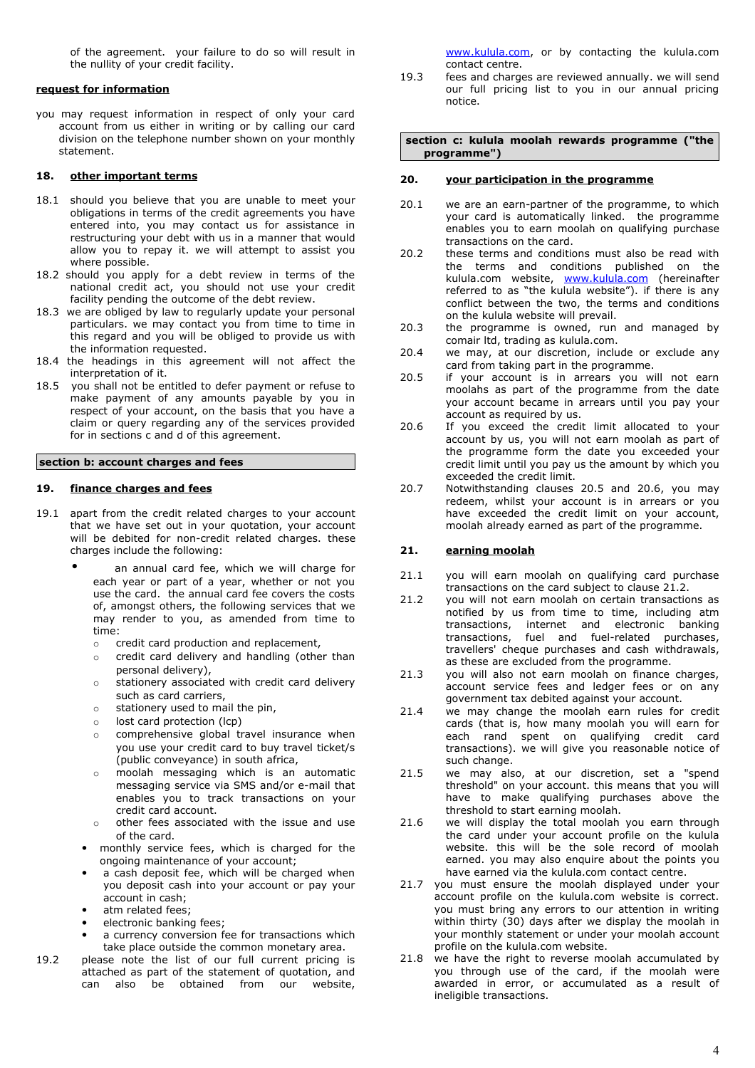of the agreement. your failure to do so will result in the nullity of your credit facility.

# **request for information**

you may request information in respect of only your card account from us either in writing or by calling our card division on the telephone number shown on your monthly statement.

### **18. other important terms**

- 18.1 should you believe that you are unable to meet your obligations in terms of the credit agreements you have entered into, you may contact us for assistance in restructuring your debt with us in a manner that would allow you to repay it. we will attempt to assist you where possible.
- 18.2 should you apply for a debt review in terms of the national credit act, you should not use your credit facility pending the outcome of the debt review.
- 18.3 we are obliged by law to regularly update your personal particulars. we may contact you from time to time in this regard and you will be obliged to provide us with the information requested.
- 18.4 the headings in this agreement will not affect the interpretation of it.
- 18.5 you shall not be entitled to defer payment or refuse to make payment of any amounts payable by you in respect of your account, on the basis that you have a claim or query regarding any of the services provided for in sections c and d of this agreement.

#### **section b: account charges and fees**

# **19. finance charges and fees**

- 19.1 apart from the credit related charges to your account that we have set out in your quotation, your account will be debited for non-credit related charges. these charges include the following:
	- an annual card fee, which we will charge for each year or part of a year, whether or not you use the card. the annual card fee covers the costs of, amongst others, the following services that we may render to you, as amended from time to time:
		- o credit card production and replacement,
		- o credit card delivery and handling (other than personal delivery),
		- $\circ$  stationery associated with credit card delivery such as card carriers,
		- o stationery used to mail the pin,
		- o lost card protection (lcp)
		- o comprehensive global travel insurance when you use your credit card to buy travel ticket/s (public conveyance) in south africa,
		- o moolah messaging which is an automatic messaging service via SMS and/or e-mail that enables you to track transactions on your credit card account.
		- o other fees associated with the issue and use of the card.
		- monthly service fees, which is charged for the ongoing maintenance of your account;
		- a cash deposit fee, which will be charged when you deposit cash into your account or pay your account in cash;
		- atm related fees;
		- electronic banking fees;
		- a currency conversion fee for transactions which take place outside the common monetary area.
- 19.2 please note the list of our full current pricing is attached as part of the statement of quotation, and can also be obtained from our website,

[www.kulula.com,](http://www.kulula.com/) or by contacting the kulula.com contact centre.

19.3 fees and charges are reviewed annually. we will send our full pricing list to you in our annual pricing notice.

**section c: kulula moolah rewards programme ("the programme")**

# **20. your participation in the programme**

- 20.1 we are an earn-partner of the programme, to which your card is automatically linked. the programme enables you to earn moolah on qualifying purchase transactions on the card.
- 20.2 these terms and conditions must also be read with the terms and conditions published on the kulula.com website, [www.kulula.com](http://www.kulula.com/) (hereinafter referred to as "the kulula website"). if there is any conflict between the two, the terms and conditions on the kulula website will prevail.
- 20.3 the programme is owned, run and managed by comair ltd, trading as kulula.com.
- 20.4 we may, at our discretion, include or exclude any card from taking part in the programme.
- 20.5 if your account is in arrears you will not earn moolahs as part of the programme from the date your account became in arrears until you pay your account as required by us.
- 20.6 If you exceed the credit limit allocated to your account by us, you will not earn moolah as part of the programme form the date you exceeded your credit limit until you pay us the amount by which you exceeded the credit limit.
- 20.7 Notwithstanding clauses 20.5 and 20.6, you may redeem, whilst your account is in arrears or you have exceeded the credit limit on your account, moolah already earned as part of the programme.

# **21. earning moolah**

- 21.1 you will earn moolah on qualifying card purchase transactions on the card subject to clause 21.2.
- 21.2 you will not earn moolah on certain transactions as notified by us from time to time, including atm transactions, internet and electronic banking transactions, fuel and fuel-related purchases, travellers' cheque purchases and cash withdrawals, as these are excluded from the programme.
- 21.3 you will also not earn moolah on finance charges, account service fees and ledger fees or on any government tax debited against your account.
- 21.4 we may change the moolah earn rules for credit cards (that is, how many moolah you will earn for each rand spent on qualifying credit card transactions). we will give you reasonable notice of such change.
- 21.5 we may also, at our discretion, set a "spend threshold" on your account. this means that you will have to make qualifying purchases above the threshold to start earning moolah.
- 21.6 we will display the total moolah you earn through the card under your account profile on the kulula website. this will be the sole record of moolah earned. you may also enquire about the points you have earned via the kulula.com contact centre.
- 21.7 you must ensure the moolah displayed under your account profile on the kulula.com website is correct. you must bring any errors to our attention in writing within thirty (30) days after we display the moolah in your monthly statement or under your moolah account profile on the kulula.com website.
- 21.8 we have the right to reverse moolah accumulated by you through use of the card, if the moolah were awarded in error, or accumulated as a result of ineligible transactions.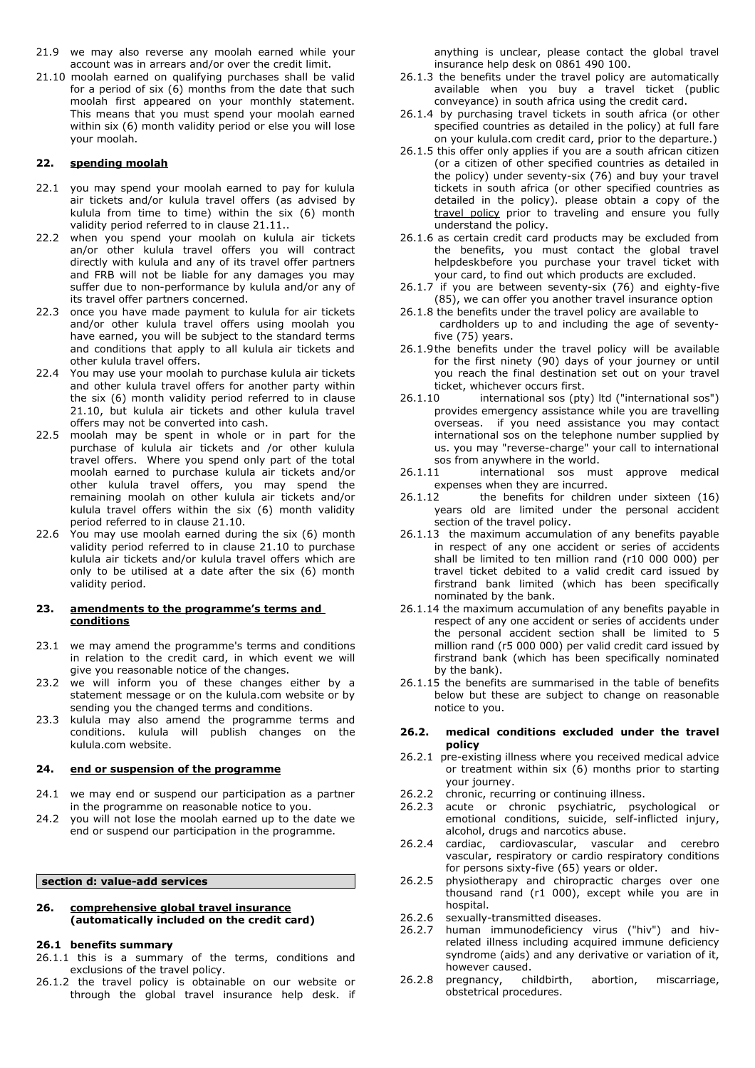- 21.9 we may also reverse any moolah earned while your account was in arrears and/or over the credit limit.
- 21.10 moolah earned on qualifying purchases shall be valid for a period of six (6) months from the date that such moolah first appeared on your monthly statement. This means that you must spend your moolah earned within six (6) month validity period or else you will lose your moolah.

### **22. spending moolah**

- 22.1 you may spend your moolah earned to pay for kulula air tickets and/or kulula travel offers (as advised by kulula from time to time) within the six (6) month validity period referred to in clause 21.11..
- 22.2 when you spend your moolah on kulula air tickets an/or other kulula travel offers you will contract directly with kulula and any of its travel offer partners and FRB will not be liable for any damages you may suffer due to non-performance by kulula and/or any of its travel offer partners concerned.
- 22.3 once you have made payment to kulula for air tickets and/or other kulula travel offers using moolah you have earned, you will be subject to the standard terms and conditions that apply to all kulula air tickets and other kulula travel offers.
- 22.4 You may use your moolah to purchase kulula air tickets and other kulula travel offers for another party within the six (6) month validity period referred to in clause 21.10, but kulula air tickets and other kulula travel offers may not be converted into cash.
- 22.5 moolah may be spent in whole or in part for the purchase of kulula air tickets and /or other kulula travel offers. Where you spend only part of the total moolah earned to purchase kulula air tickets and/or other kulula travel offers, you may spend the remaining moolah on other kulula air tickets and/or kulula travel offers within the six (6) month validity period referred to in clause 21.10.
- 22.6 You may use moolah earned during the six (6) month validity period referred to in clause 21.10 to purchase kulula air tickets and/or kulula travel offers which are only to be utilised at a date after the six (6) month validity period.

#### 23. **amendments to the programme's terms and conditions**

- 23.1 we may amend the programme's terms and conditions in relation to the credit card, in which event we will give you reasonable notice of the changes.
- 23.2 we will inform you of these changes either by a statement message or on the kulula.com website or by sending you the changed terms and conditions.
- 23.3 kulula may also amend the programme terms and conditions. kulula will publish changes on the kulula.com website.

# **24. end or suspension of the programme**

- 24.1 we may end or suspend our participation as a partner in the programme on reasonable notice to you.
- 24.2 you will not lose the moolah earned up to the date we end or suspend our participation in the programme.

### **section d: value-add services**

#### **26. comprehensive global travel insurance (automatically included on the credit card)**

#### **26.1 benefits summary**

- 26.1.1 this is a summary of the terms, conditions and exclusions of the travel policy.
- 26.1.2 the travel policy is obtainable on our website or through the global travel insurance help desk. if

anything is unclear, please contact the global travel insurance help desk on 0861 490 100.

- 26.1.3 the benefits under the travel policy are automatically available when you buy a travel ticket (public conveyance) in south africa using the credit card.
- 26.1.4 by purchasing travel tickets in south africa (or other specified countries as detailed in the policy) at full fare on your kulula.com credit card, prior to the departure.)
- 26.1.5 this offer only applies if you are a south african citizen (or a citizen of other specified countries as detailed in the policy) under seventy-six (76) and buy your travel tickets in south africa (or other specified countries as detailed in the policy). please obtain a copy of the travel [policy](https://www.fnb.co.za/downloads/terms/standard2.pdf) prior to traveling and ensure you fully understand the policy.
- 26.1.6 as certain credit card products may be excluded from the benefits, you must contact the global travel helpdeskbefore you purchase your travel ticket with your card, to find out which products are excluded.
- 26.1.7 if you are between seventy-six (76) and eighty-five (85), we can offer you another travel insurance option
- 26.1.8 the benefits under the travel policy are available to cardholders up to and including the age of seventyfive (75) years.
- 26.1.9the benefits under the travel policy will be available for the first ninety (90) days of your journey or until you reach the final destination set out on your travel ticket, whichever occurs first.
- 26.1.10 international sos (pty) ltd ("international sos") provides emergency assistance while you are travelling overseas. if you need assistance you may contact international sos on the telephone number supplied by us. you may "reverse-charge" your call to international sos from anywhere in the world.
- 26.1.11 international sos must approve medical expenses when they are incurred.
- 26.1.12 the benefits for children under sixteen (16) years old are limited under the personal accident section of the travel policy.
- 26.1.13 the maximum accumulation of any benefits payable in respect of any one accident or series of accidents shall be limited to ten million rand (r10 000 000) per travel ticket debited to a valid credit card issued by firstrand bank limited (which has been specifically nominated by the bank.
- 26.1.14 the maximum accumulation of any benefits payable in respect of any one accident or series of accidents under the personal accident section shall be limited to 5 million rand (r5 000 000) per valid credit card issued by firstrand bank (which has been specifically nominated by the bank).
- 26.1.15 the benefits are summarised in the table of benefits below but these are subject to change on reasonable notice to you.

# **26.2. medical conditions excluded under the travel policy**

- 26.2.1 pre-existing illness where you received medical advice or treatment within six (6) months prior to starting your journey.
- 26.2.2 chronic, recurring or continuing illness.
- 26.2.3 acute or chronic psychiatric, psychological or emotional conditions, suicide, self-inflicted injury, alcohol, drugs and narcotics abuse.
- 26.2.4 cardiac, cardiovascular, vascular and cerebro vascular, respiratory or cardio respiratory conditions for persons sixty-five (65) years or older.
- 26.2.5 physiotherapy and chiropractic charges over one thousand rand (r1 000), except while you are in hospital.
- 26.2.6 sexually-transmitted diseases.
- 26.2.7 human immunodeficiency virus ("hiv") and hivrelated illness including acquired immune deficiency syndrome (aids) and any derivative or variation of it, however caused.
- 26.2.8 pregnancy, childbirth, abortion, miscarriage, obstetrical procedures.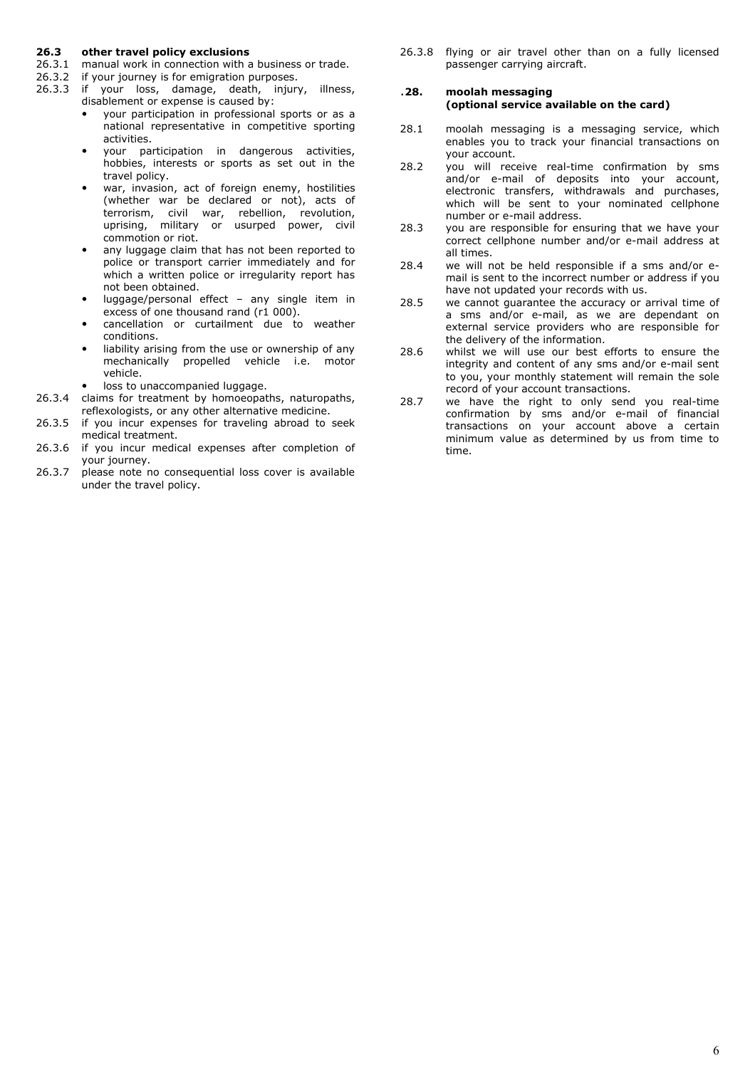# **26.3 other travel policy exclusions**

- 26.3.1 manual work in connection with a business or trade.
- 26.3.2 if your journey is for emigration purposes.
- 26.3.3 if your loss, damage, death, injury, illness, disablement or expense is caused by:
	- your participation in professional sports or as a national representative in competitive sporting activities.
	- your participation in dangerous activities, hobbies, interests or sports as set out in the travel policy.
	- war, invasion, act of foreign enemy, hostilities (whether war be declared or not), acts of terrorism, civil war, rebellion, revolution, uprising, military or usurped power, civil commotion or riot.
	- any luggage claim that has not been reported to police or transport carrier immediately and for which a written police or irregularity report has not been obtained.
	- luggage/personal effect any single item in excess of one thousand rand (r1 000).
	- cancellation or curtailment due to weather conditions.
	- liability arising from the use or ownership of any mechanically propelled vehicle i.e. motor vehicle.
	- loss to unaccompanied luggage.
- 26.3.4 claims for treatment by homoeopaths, naturopaths, reflexologists, or any other alternative medicine.
- 26.3.5 if you incur expenses for traveling abroad to seek medical treatment.
- 26.3.6 if you incur medical expenses after completion of your journey.
- 26.3.7 please note no consequential loss cover is available under the travel policy.

26.3.8 flying or air travel other than on a fully licensed passenger carrying aircraft.

# .**28. moolah messaging (optional service available on the card)**

- 28.1 moolah messaging is a messaging service, which enables you to track your financial transactions on your account.
- 28.2 you will receive real-time confirmation by sms and/or e-mail of deposits into your account, electronic transfers, withdrawals and purchases, which will be sent to your nominated cellphone number or e-mail address.
- 28.3 you are responsible for ensuring that we have your correct cellphone number and/or e-mail address at all times.
- 28.4 we will not be held responsible if a sms and/or email is sent to the incorrect number or address if you have not updated your records with us.
- 28.5 we cannot guarantee the accuracy or arrival time of a sms and/or e-mail, as we are dependant on external service providers who are responsible for the delivery of the information.
- 28.6 whilst we will use our best efforts to ensure the integrity and content of any sms and/or e-mail sent to you, your monthly statement will remain the sole record of your account transactions.
- 28.7 we have the right to only send you real-time confirmation by sms and/or e-mail of financial transactions on your account above a certain minimum value as determined by us from time to time.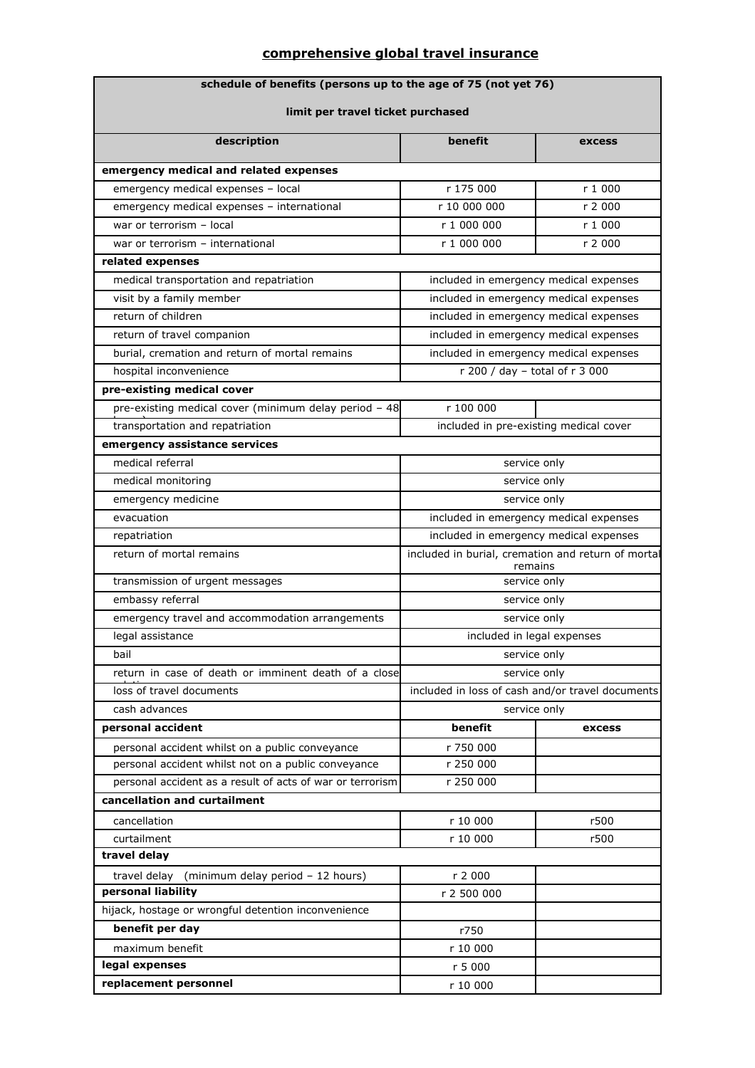# **comprehensive global travel insurance**

| schedule of benefits (persons up to the age of 75 (not yet 76) |                                                               |         |  |  |  |  |
|----------------------------------------------------------------|---------------------------------------------------------------|---------|--|--|--|--|
| limit per travel ticket purchased                              |                                                               |         |  |  |  |  |
|                                                                |                                                               |         |  |  |  |  |
| description                                                    | benefit                                                       | excess  |  |  |  |  |
| emergency medical and related expenses                         |                                                               |         |  |  |  |  |
| emergency medical expenses - local                             | r 175 000                                                     | r 1 000 |  |  |  |  |
| emergency medical expenses - international                     | r 10 000 000                                                  | r 2 000 |  |  |  |  |
| war or terrorism - local                                       | r 1 000 000                                                   | r 1 000 |  |  |  |  |
| war or terrorism - international                               | r 1 000 000                                                   | r 2 000 |  |  |  |  |
| related expenses                                               |                                                               |         |  |  |  |  |
| medical transportation and repatriation                        | included in emergency medical expenses                        |         |  |  |  |  |
| visit by a family member                                       | included in emergency medical expenses                        |         |  |  |  |  |
| return of children                                             | included in emergency medical expenses                        |         |  |  |  |  |
| return of travel companion                                     | included in emergency medical expenses                        |         |  |  |  |  |
| burial, cremation and return of mortal remains                 | included in emergency medical expenses                        |         |  |  |  |  |
| hospital inconvenience                                         | r 200 / day - total of r 3 000                                |         |  |  |  |  |
| pre-existing medical cover                                     |                                                               |         |  |  |  |  |
| pre-existing medical cover (minimum delay period - 48          | r 100 000                                                     |         |  |  |  |  |
| transportation and repatriation                                | included in pre-existing medical cover                        |         |  |  |  |  |
| emergency assistance services                                  |                                                               |         |  |  |  |  |
| medical referral                                               | service only                                                  |         |  |  |  |  |
| medical monitoring                                             | service only                                                  |         |  |  |  |  |
| emergency medicine                                             | service only                                                  |         |  |  |  |  |
| evacuation                                                     | included in emergency medical expenses                        |         |  |  |  |  |
| repatriation                                                   | included in emergency medical expenses                        |         |  |  |  |  |
| return of mortal remains                                       | included in burial, cremation and return of mortal<br>remains |         |  |  |  |  |
| transmission of urgent messages                                | service only                                                  |         |  |  |  |  |
| embassy referral                                               | service only                                                  |         |  |  |  |  |
| emergency travel and accommodation arrangements                | service only                                                  |         |  |  |  |  |
| legal assistance                                               | included in legal expenses                                    |         |  |  |  |  |
| bail                                                           | service only                                                  |         |  |  |  |  |
| return in case of death or imminent death of a close           | service only                                                  |         |  |  |  |  |
| loss of travel documents                                       | included in loss of cash and/or travel documents              |         |  |  |  |  |
| cash advances                                                  | service only                                                  |         |  |  |  |  |
| personal accident                                              | benefit                                                       | excess  |  |  |  |  |
| personal accident whilst on a public conveyance                | r 750 000                                                     |         |  |  |  |  |
| personal accident whilst not on a public conveyance            | r 250 000                                                     |         |  |  |  |  |
| personal accident as a result of acts of war or terrorism      | r 250 000                                                     |         |  |  |  |  |
| cancellation and curtailment                                   |                                                               |         |  |  |  |  |
| cancellation                                                   | r 10 000                                                      | r500    |  |  |  |  |
| curtailment                                                    | r 10 000<br>r500                                              |         |  |  |  |  |
| travel delay                                                   |                                                               |         |  |  |  |  |
| (minimum delay period - 12 hours)<br>travel delay              | r 2 000                                                       |         |  |  |  |  |
| personal liability                                             | r 2 500 000                                                   |         |  |  |  |  |
| hijack, hostage or wrongful detention inconvenience            |                                                               |         |  |  |  |  |
| benefit per day                                                | r750                                                          |         |  |  |  |  |
| maximum benefit                                                | r 10 000                                                      |         |  |  |  |  |
| legal expenses                                                 | r 5 000                                                       |         |  |  |  |  |
| replacement personnel                                          | r 10 000                                                      |         |  |  |  |  |